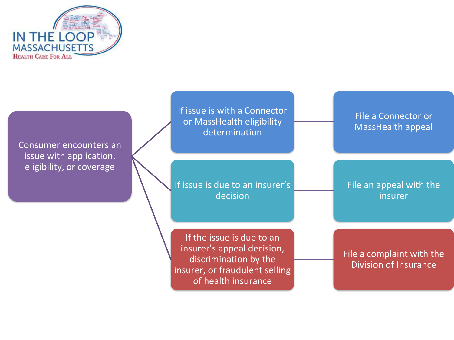

Consumer encounters an issue with application, eligibility, or coverage

If issue is with a Connector or MassHealth eligibility determination

If issue is due to an insurer's decision

If the issue is due to an insurer's appeal decision, discrimination by the insurer, or fraudulent selling of health insurance

File a Connector or MassHealth appeal

File an appeal with the insurer

File a complaint with the Division of Insurance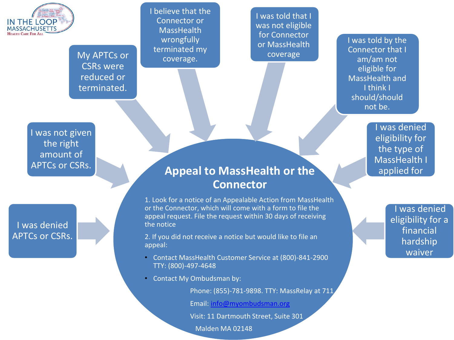

My APTCs or CSRs were reduced or terminated.

I believe that the Connector or **MassHealth** wrongfully terminated my coverage.

I was told that I was not eligible for Connector or MassHealth coverage

I was told by the Connector that I am/am not eligible for MassHealth and I think I should/should not be.

I was not given the right amount of APTCs or CSRs.

I was denied APTCs or CSRs.

## **Appeal to MassHealth or the Connector**

1. Look for a notice of an Appealable Action from MassHealth or the Connector, which will come with a form to file the appeal request. File the request within 30 days of receiving the notice

2. If you did not receive a notice but would like to file an appeal:

- Contact MassHealth Customer Service at (800)-841-2900 TTY: (800)-497-4648
- Contact My Ombudsman by:

Phone: (855)-781-9898. TTY: MassRelay at 711

Email: [info@myombudsman.org](mailto:info@myombudsman.org)

Visit: 11 Dartmouth Street, Suite 301

Malden MA 02148

I was denied eligibility for the type of MassHealth I applied for

> I was denied eligibility for a financial hardship waiver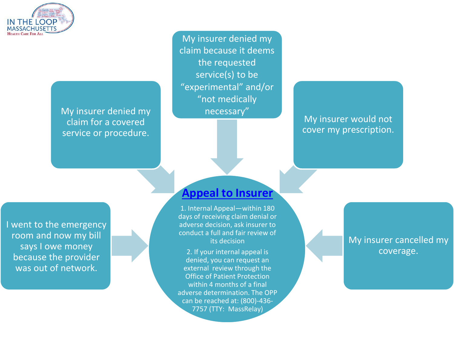

My insurer denied my necessary" claim for a covered service or procedure.

My insurer denied my claim because it deems the requested service(s) to be "experimental" and/or "not medically

My insurer would not cover my prescription.

I went to the emergency room and now my bill says I owe money because the provider was out of network.

## **[Appeal to Insurer](https://www.mass.gov/appeal-a-health-insurance-denial)**

1. Internal Appeal—within 180 days of receiving claim denial or adverse decision, ask insurer to conduct a full and fair review of its decision

2. If your internal appeal is denied, you can request an external review through the Office of Patient Protection within 4 months of a final adverse determination. The OPP can be reached at: (800)-436- 7757 (TTY: MassRelay)

## My insurer cancelled my coverage.